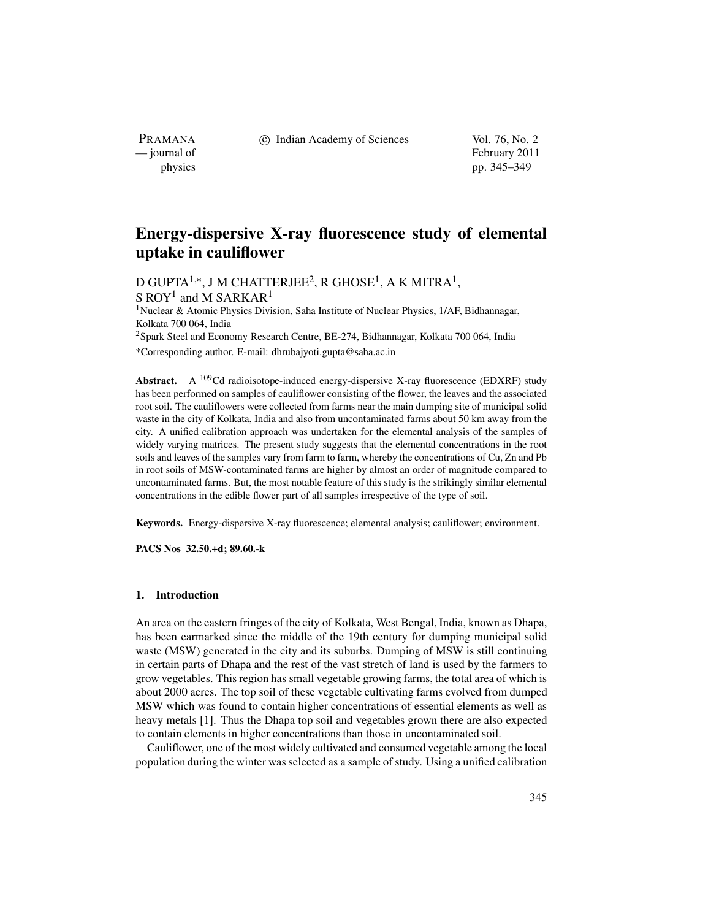c Indian Academy of Sciences Vol. 76, No. 2

PRAMANA<br>
— journal of

February 2011 physics pp. 345–349

# **Energy-dispersive X-ray fluorescence study of elemental uptake in cauliflower**

D GUPTA<sup>1,∗</sup>, J M CHATTERJEE<sup>2</sup>, R GHOSE<sup>1</sup>, A K MITRA<sup>1</sup>, S ROY<sup>1</sup> and M SARKAR<sup>1</sup>

1Nuclear & Atomic Physics Division, Saha Institute of Nuclear Physics, 1/AF, Bidhannagar, Kolkata 700 064, India

2Spark Steel and Economy Research Centre, BE-274, Bidhannagar, Kolkata 700 064, India

\*Corresponding author. E-mail: dhrubajyoti.gupta@saha.ac.in

Abstract. A <sup>109</sup>Cd radioisotope-induced energy-dispersive X-ray fluorescence (EDXRF) study has been performed on samples of cauliflower consisting of the flower, the leaves and the associated root soil. The cauliflowers were collected from farms near the main dumping site of municipal solid waste in the city of Kolkata, India and also from uncontaminated farms about 50 km away from the city. A unified calibration approach was undertaken for the elemental analysis of the samples of widely varying matrices. The present study suggests that the elemental concentrations in the root soils and leaves of the samples vary from farm to farm, whereby the concentrations of Cu, Zn and Pb in root soils of MSW-contaminated farms are higher by almost an order of magnitude compared to uncontaminated farms. But, the most notable feature of this study is the strikingly similar elemental concentrations in the edible flower part of all samples irrespective of the type of soil.

**Keywords.** Energy-dispersive X-ray fluorescence; elemental analysis; cauliflower; environment.

**PACS Nos 32.50.+d; 89.60.-k**

### **1. Introduction**

An area on the eastern fringes of the city of Kolkata, West Bengal, India, known as Dhapa, has been earmarked since the middle of the 19th century for dumping municipal solid waste (MSW) generated in the city and its suburbs. Dumping of MSW is still continuing in certain parts of Dhapa and the rest of the vast stretch of land is used by the farmers to grow vegetables. This region has small vegetable growing farms, the total area of which is about 2000 acres. The top soil of these vegetable cultivating farms evolved from dumped MSW which was found to contain higher concentrations of essential elements as well as heavy metals [1]. Thus the Dhapa top soil and vegetables grown there are also expected to contain elements in higher concentrations than those in uncontaminated soil.

Cauliflower, one of the most widely cultivated and consumed vegetable among the local population during the winter was selected as a sample of study. Using a unified calibration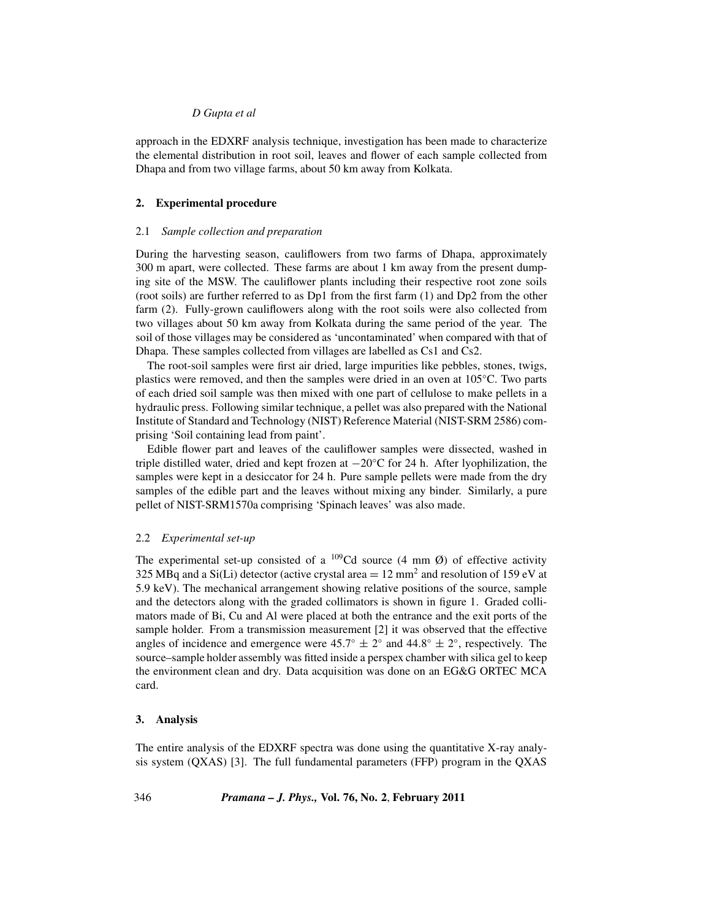### *D Gupta et al*

approach in the EDXRF analysis technique, investigation has been made to characterize the elemental distribution in root soil, leaves and flower of each sample collected from Dhapa and from two village farms, about 50 km away from Kolkata.

#### **2. Experimental procedure**

#### 2.1 *Sample collection and preparation*

During the harvesting season, cauliflowers from two farms of Dhapa, approximately 300 m apart, were collected. These farms are about 1 km away from the present dumping site of the MSW. The cauliflower plants including their respective root zone soils (root soils) are further referred to as Dp1 from the first farm (1) and Dp2 from the other farm (2). Fully-grown cauliflowers along with the root soils were also collected from two villages about 50 km away from Kolkata during the same period of the year. The soil of those villages may be considered as 'uncontaminated' when compared with that of Dhapa. These samples collected from villages are labelled as Cs1 and Cs2.

The root-soil samples were first air dried, large impurities like pebbles, stones, twigs, plastics were removed, and then the samples were dried in an oven at 105◦C. Two parts of each dried soil sample was then mixed with one part of cellulose to make pellets in a hydraulic press. Following similar technique, a pellet was also prepared with the National Institute of Standard and Technology (NIST) Reference Material (NIST-SRM 2586) comprising 'Soil containing lead from paint'.

Edible flower part and leaves of the cauliflower samples were dissected, washed in triple distilled water, dried and kept frozen at  $-20\degree$ C for 24 h. After lyophilization, the samples were kept in a desiccator for 24 h. Pure sample pellets were made from the dry samples of the edible part and the leaves without mixing any binder. Similarly, a pure pellet of NIST-SRM1570a comprising 'Spinach leaves' was also made.

### 2.2 *Experimental set-up*

The experimental set-up consisted of a  $^{109}$ Cd source (4 mm Ø) of effective activity 325 MBq and a Si(Li) detector (active crystal area  $= 12$  mm<sup>2</sup> and resolution of 159 eV at 5.9 keV). The mechanical arrangement showing relative positions of the source, sample and the detectors along with the graded collimators is shown in figure 1. Graded collimators made of Bi, Cu and Al were placed at both the entrance and the exit ports of the sample holder. From a transmission measurement [2] it was observed that the effective angles of incidence and emergence were  $45.7° \pm 2°$  and  $44.8° \pm 2°$ , respectively. The source–sample holder assembly was fitted inside a perspex chamber with silica gel to keep the environment clean and dry. Data acquisition was done on an EG&G ORTEC MCA card.

#### **3. Analysis**

The entire analysis of the EDXRF spectra was done using the quantitative X-ray analysis system (QXAS) [3]. The full fundamental parameters (FFP) program in the QXAS

346 *Pramana – J. Phys.,* **Vol. 76, No. 2**, **February 2011**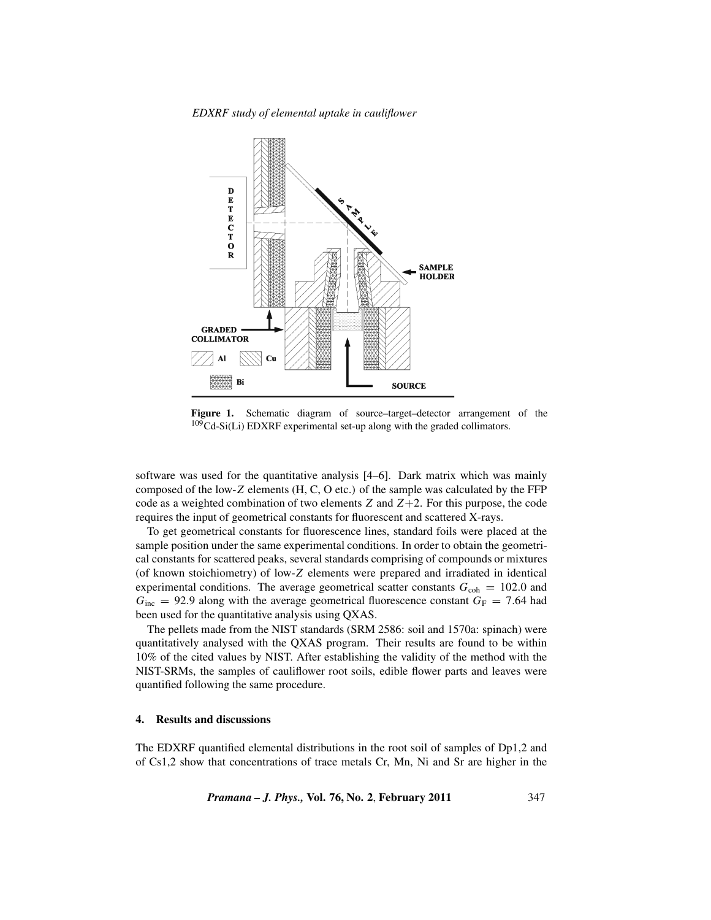*EDXRF study of elemental uptake in cauliflower*



**Figure 1.** Schematic diagram of source–target–detector arrangement of the 109Cd-Si(Li) EDXRF experimental set-up along with the graded collimators.

software was used for the quantitative analysis [4–6]. Dark matrix which was mainly composed of the low-*Z* elements (H, C, O etc.) of the sample was calculated by the FFP code as a weighted combination of two elements *Z* and *Z*+2. For this purpose, the code requires the input of geometrical constants for fluorescent and scattered X-rays.

To get geometrical constants for fluorescence lines, standard foils were placed at the sample position under the same experimental conditions. In order to obtain the geometrical constants for scattered peaks, several standards comprising of compounds or mixtures (of known stoichiometry) of low-*Z* elements were prepared and irradiated in identical experimental conditions. The average geometrical scatter constants  $G_{\text{coh}} = 102.0$  and  $G_{\text{inc}} = 92.9$  along with the average geometrical fluorescence constant  $G_F = 7.64$  had been used for the quantitative analysis using QXAS.

The pellets made from the NIST standards (SRM 2586: soil and 1570a: spinach) were quantitatively analysed with the QXAS program. Their results are found to be within 10% of the cited values by NIST. After establishing the validity of the method with the NIST-SRMs, the samples of cauliflower root soils, edible flower parts and leaves were quantified following the same procedure.

#### **4. Results and discussions**

The EDXRF quantified elemental distributions in the root soil of samples of Dp1,2 and of Cs1,2 show that concentrations of trace metals Cr, Mn, Ni and Sr are higher in the

*Pramana – J. Phys.,* **Vol. 76, No. 2**, **February 2011** 347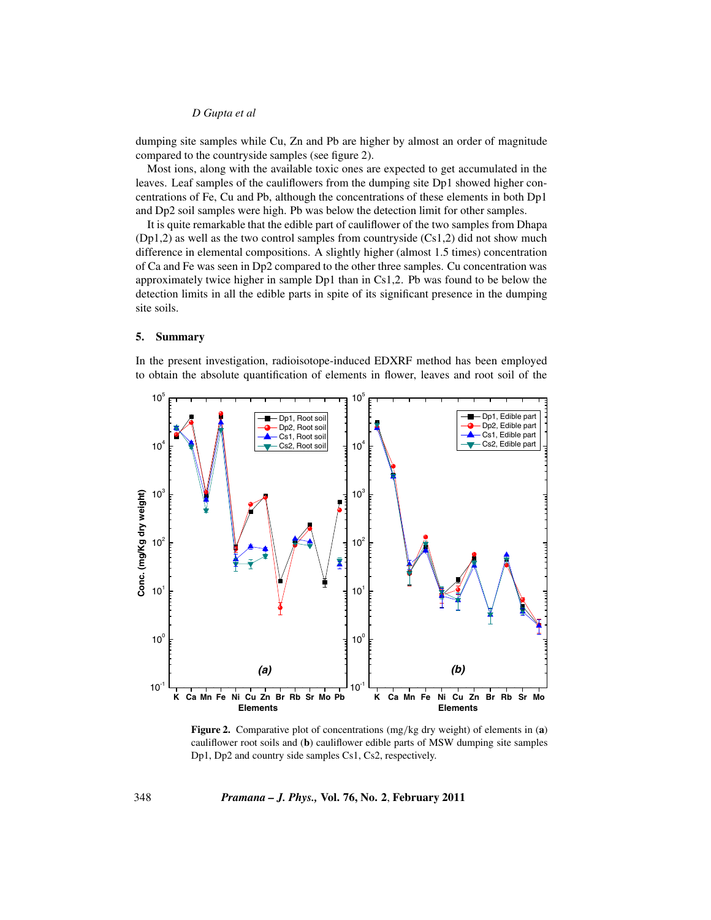#### *D Gupta et al*

dumping site samples while Cu, Zn and Pb are higher by almost an order of magnitude compared to the countryside samples (see figure 2).

Most ions, along with the available toxic ones are expected to get accumulated in the leaves. Leaf samples of the cauliflowers from the dumping site Dp1 showed higher concentrations of Fe, Cu and Pb, although the concentrations of these elements in both Dp1 and Dp2 soil samples were high. Pb was below the detection limit for other samples.

It is quite remarkable that the edible part of cauliflower of the two samples from Dhapa  $(Dp1,2)$  as well as the two control samples from countryside  $(Cs1,2)$  did not show much difference in elemental compositions. A slightly higher (almost 1.5 times) concentration of Ca and Fe was seen in Dp2 compared to the other three samples. Cu concentration was approximately twice higher in sample Dp1 than in Cs1,2. Pb was found to be below the detection limits in all the edible parts in spite of its significant presence in the dumping site soils.

## **5. Summary**

In the present investigation, radioisotope-induced EDXRF method has been employed to obtain the absolute quantification of elements in flower, leaves and root soil of the



**Figure 2.** Comparative plot of concentrations (mg*/*kg dry weight) of elements in (**a**) cauliflower root soils and (**b**) cauliflower edible parts of MSW dumping site samples Dp1, Dp2 and country side samples Cs1, Cs2, respectively.

348 *Pramana – J. Phys.,* **Vol. 76, No. 2**, **February 2011**